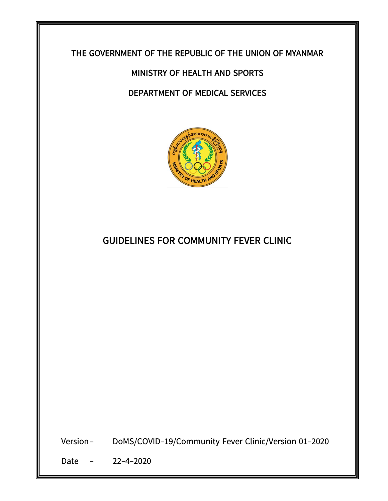

# **MINISTRY OF HEALTH AND SPORTS**

### **DEPARTMENT OF MEDICAL SERVICES**



## **GUIDELINES FOR COMMUNITY FEVER CLINIC**

Version-**DoMS/COVID-19/Community Fever Clinic/Version 01-2020** 

Date - 22-4-2020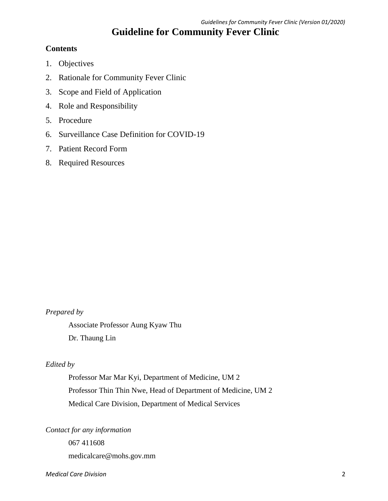## **Guideline for Community Fever Clinic**

### **Contents**

- 1. Objectives
- 2. Rationale for Community Fever Clinic
- 3. Scope and Field of Application
- 4. Role and Responsibility
- 5. Procedure
- 6. Surveillance Case Definition for COVID-19
- 7. Patient Record Form
- 8. Required Resources

### *Prepared by*

Associate Professor Aung Kyaw Thu

Dr. Thaung Lin

### *Edited by*

Professor Mar Mar Kyi, Department of Medicine, UM 2 Professor Thin Thin Nwe, Head of Department of Medicine, UM 2 Medical Care Division, Department of Medical Services

*Contact for any information*

067 411608

medicalcare@mohs.gov.mm

#### *Medical Care Division* 2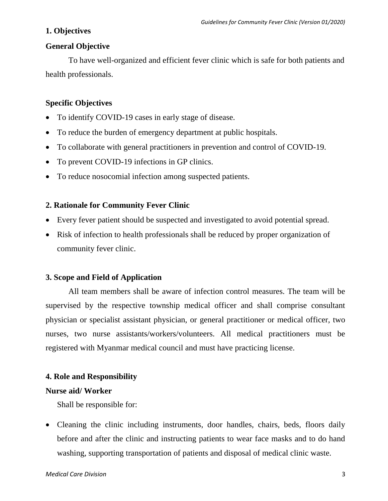### **1. Objectives**

### **General Objective**

To have well-organized and efficient fever clinic which is safe for both patients and health professionals.

### **Specific Objectives**

- To identify COVID-19 cases in early stage of disease.
- To reduce the burden of emergency department at public hospitals.
- To collaborate with general practitioners in prevention and control of COVID-19.
- To prevent COVID-19 infections in GP clinics.
- To reduce nosocomial infection among suspected patients.

### **2. Rationale for Community Fever Clinic**

- Every fever patient should be suspected and investigated to avoid potential spread.
- Risk of infection to health professionals shall be reduced by proper organization of community fever clinic.

### **3. Scope and Field of Application**

All team members shall be aware of infection control measures. The team will be supervised by the respective township medical officer and shall comprise consultant physician or specialist assistant physician, or general practitioner or medical officer, two nurses, two nurse assistants/workers/volunteers. All medical practitioners must be registered with Myanmar medical council and must have practicing license.

### **4. Role and Responsibility**

### **Nurse aid/ Worker**

Shall be responsible for:

• Cleaning the clinic including instruments, door handles, chairs, beds, floors daily before and after the clinic and instructing patients to wear face masks and to do hand washing, supporting transportation of patients and disposal of medical clinic waste.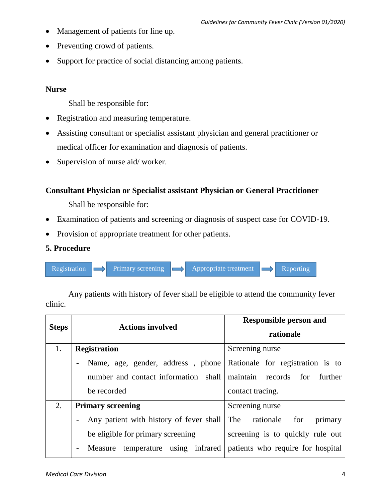- Management of patients for line up.
- Preventing crowd of patients.
- Support for practice of social distancing among patients.

### **Nurse**

Shall be responsible for:

- Registration and measuring temperature.
- Assisting consultant or specialist assistant physician and general practitioner or medical officer for examination and diagnosis of patients.
- Supervision of nurse aid/ worker.

### **Consultant Physician or Specialist assistant Physician or General Practitioner**

Shall be responsible for:

- Examination of patients and screening or diagnosis of suspect case for COVID-19.
- Provision of appropriate treatment for other patients.

### **5. Procedure**



clinic. **Steps Actions involved Responsible person and rationale**

Any patients with history of fever shall be eligible to attend the community fever

|    |                                                                                                  | rationale                        |  |  |  |
|----|--------------------------------------------------------------------------------------------------|----------------------------------|--|--|--|
| 1. | <b>Registration</b>                                                                              | Screening nurse                  |  |  |  |
|    | Name, age, gender, address, phone Rationale for registration is to<br>$\overline{\phantom{0}}$   |                                  |  |  |  |
|    | number and contact information shall maintain records for                                        | further                          |  |  |  |
|    | be recorded                                                                                      | contact tracing.                 |  |  |  |
| 2. | <b>Primary screening</b>                                                                         | Screening nurse                  |  |  |  |
|    | Any patient with history of fever shall The rationale                                            | for<br>primary                   |  |  |  |
|    | be eligible for primary screening                                                                | screening is to quickly rule out |  |  |  |
|    | Measure temperature using infrared patients who require for hospital<br>$\overline{\phantom{a}}$ |                                  |  |  |  |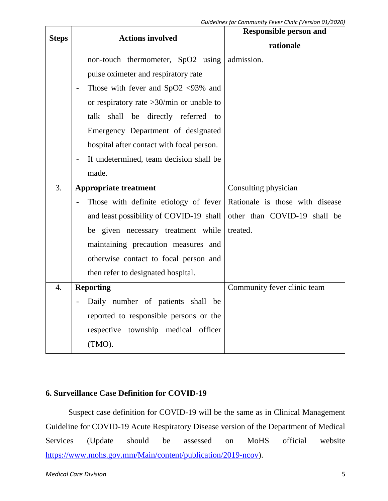| <b>Steps</b>     | <b>Actions involved</b>                                   | <b>Responsible person and</b>   |  |  |
|------------------|-----------------------------------------------------------|---------------------------------|--|--|
|                  |                                                           | rationale                       |  |  |
|                  | non-touch thermometer, SpO2 using                         | admission.                      |  |  |
|                  | pulse oximeter and respiratory rate                       |                                 |  |  |
|                  | Those with fever and $SpO2$ <93% and                      |                                 |  |  |
|                  | or respiratory rate $>30$ /min or unable to               |                                 |  |  |
|                  | talk shall be directly referred to                        |                                 |  |  |
|                  | Emergency Department of designated                        |                                 |  |  |
|                  | hospital after contact with focal person.                 |                                 |  |  |
|                  | If undetermined, team decision shall be<br>$\blacksquare$ |                                 |  |  |
|                  | made.                                                     |                                 |  |  |
| 3.               | <b>Appropriate treatment</b>                              | Consulting physician            |  |  |
|                  | Those with definite etiology of fever                     | Rationale is those with disease |  |  |
|                  | and least possibility of COVID-19 shall                   | other than COVID-19 shall be    |  |  |
|                  | be given necessary treatment while                        | treated.                        |  |  |
|                  | maintaining precaution measures and                       |                                 |  |  |
|                  | otherwise contact to focal person and                     |                                 |  |  |
|                  | then refer to designated hospital.                        |                                 |  |  |
| $\overline{4}$ . | <b>Reporting</b>                                          | Community fever clinic team     |  |  |
|                  | Daily number of patients shall be                         |                                 |  |  |
|                  | reported to responsible persons or the                    |                                 |  |  |
|                  | respective township medical officer                       |                                 |  |  |
|                  | (TMO).                                                    |                                 |  |  |

### **6. Surveillance Case Definition for COVID-19**

Suspect case definition for COVID-19 will be the same as in Clinical Management Guideline for COVID-19 Acute Respiratory Disease version of the Department of Medical Services (Update should be assessed on MoHS official website [https://www.mohs.gov.mm/Main/content/publication/2019-ncov\)](https://www.mohs.gov.mm/Main/content/publication/2019-ncov).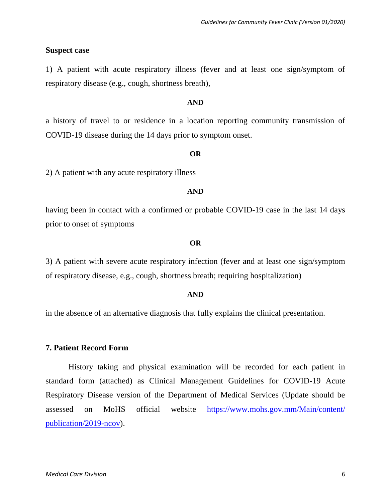#### **Suspect case**

1) A patient with acute respiratory illness (fever and at least one sign/symptom of respiratory disease (e.g., cough, shortness breath),

#### **AND**

a history of travel to or residence in a location reporting community transmission of COVID-19 disease during the 14 days prior to symptom onset.

#### **OR**

2) A patient with any acute respiratory illness

#### **AND**

having been in contact with a confirmed or probable COVID-19 case in the last 14 days prior to onset of symptoms

#### **OR**

3) A patient with severe acute respiratory infection (fever and at least one sign/symptom of respiratory disease, e.g., cough, shortness breath; requiring hospitalization)

#### **AND**

in the absence of an alternative diagnosis that fully explains the clinical presentation.

#### **7. Patient Record Form**

History taking and physical examination will be recorded for each patient in standard form (attached) as Clinical Management Guidelines for COVID-19 Acute Respiratory Disease version of the Department of Medical Services (Update should be assessed on MoHS official website [https://www.mohs.gov.mm/Main/content/](https://www.mohs.gov.mm/Main/content/%20publication/2019-ncov)  [publication/2019-ncov\)](https://www.mohs.gov.mm/Main/content/%20publication/2019-ncov).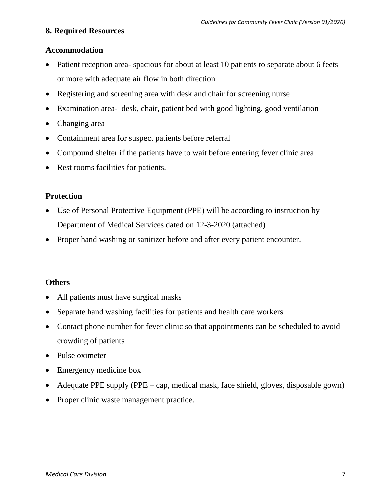### **8. Required Resources**

### **Accommodation**

- Patient reception area- spacious for about at least 10 patients to separate about 6 feets or more with adequate air flow in both direction
- Registering and screening area with desk and chair for screening nurse
- Examination area- desk, chair, patient bed with good lighting, good ventilation
- Changing area
- Containment area for suspect patients before referral
- Compound shelter if the patients have to wait before entering fever clinic area
- Rest rooms facilities for patients.

### **Protection**

- Use of Personal Protective Equipment (PPE) will be according to instruction by Department of Medical Services dated on 12-3-2020 (attached)
- Proper hand washing or sanitizer before and after every patient encounter.

### **Others**

- All patients must have surgical masks
- Separate hand washing facilities for patients and health care workers
- Contact phone number for fever clinic so that appointments can be scheduled to avoid crowding of patients
- Pulse oximeter
- Emergency medicine box
- Adequate PPE supply (PPE cap, medical mask, face shield, gloves, disposable gown)
- Proper clinic waste management practice.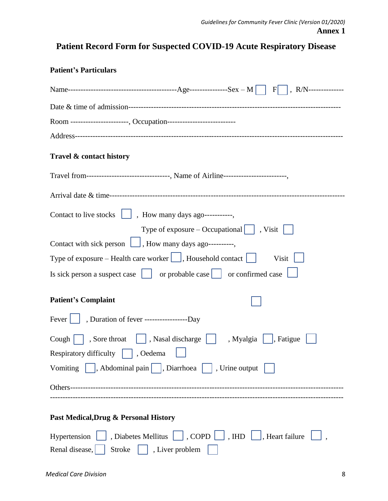# **Patient Record Form for Suspected COVID-19 Acute Respiratory Disease**

| <b>Patient's Particulars</b>                                                                                                 |
|------------------------------------------------------------------------------------------------------------------------------|
|                                                                                                                              |
|                                                                                                                              |
| Room ----------------------, Occupation---------------------------                                                           |
|                                                                                                                              |
| Travel & contact history                                                                                                     |
| Travel from--------------------------------, Name of Airline------------------------,                                        |
|                                                                                                                              |
| Contact to live stocks $\boxed{\phantom{a}}$ , How many days ago-----------,                                                 |
| Type of exposure – Occupational $  \cdot  $ , Visit $  \cdot  $                                                              |
| Contact with sick person     , How many days ago----------,                                                                  |
| Type of exposure – Health care worker $\Box$ , Household contact $\Box$<br>Visit                                             |
| Is sick person a suspect case $\vert \cdot \vert$ or probable case $\vert \cdot \vert$ or confirmed case $\vert \cdot \vert$ |
| <b>Patient's Complaint</b>                                                                                                   |
| Fever     , Duration of fever -------------------------Day                                                                   |
| Cough $\Box$ , Sore throat $\Box$ , Nasal discharge $\Box$ , Myalgia $\Box$ , Fatigue                                        |
| Respiratory difficulty<br>, Oedema                                                                                           |
| Vomiting $\parallel$ , Abdominal pain $\parallel$ , Diarrhoea $\parallel$ , Urine output                                     |
| Others--                                                                                                                     |
|                                                                                                                              |
| Past Medical, Drug & Personal History                                                                                        |
| , Diabetes Mellitus $\Box$ , COPD $\Box$ , IHD $\Box$ , Heart failure<br>Hypertension                                        |
| , Liver problem<br>Renal disease,<br>Stroke                                                                                  |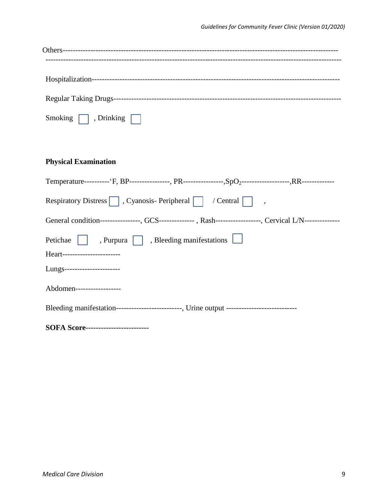**SOFA Score-------------------------**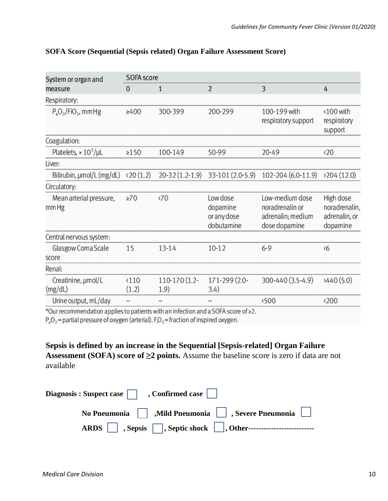| System or organ and              | <b>SOFA</b> score      |                       |                                                   |                                                                          |                                                         |  |
|----------------------------------|------------------------|-----------------------|---------------------------------------------------|--------------------------------------------------------------------------|---------------------------------------------------------|--|
| measure                          | $\mathbf{0}$           | $\mathbf{1}$          | $\overline{2}$                                    | 3                                                                        | 4                                                       |  |
| Respiratory:                     |                        |                       |                                                   |                                                                          |                                                         |  |
| $P_aO_2/FiO_2$ , mmHg            | $\geq 400$             | 300-399               | 200-299                                           | 100-199 with<br>respiratory support                                      | <100 with<br>respiratory<br>support                     |  |
| Coagulation:                     |                        |                       |                                                   |                                                                          |                                                         |  |
| Platelets, $\times 10^3/\mu L$   | $\geq$ 150             | 100-149               | 50-99                                             | 20-49                                                                    | $\langle 20$                                            |  |
| Liver:                           |                        |                       |                                                   |                                                                          |                                                         |  |
| Bilirubin, µmol/L (mg/dL)        | (20(1.2))              | $20-32(1.2-1.9)$      | 33-101 (2.0-5.9)                                  | 102-204 (6.0-11.9)                                                       | 204(12.0)                                               |  |
| Circulatory:                     |                        |                       |                                                   |                                                                          |                                                         |  |
| Mean arterial pressure,<br>mm Hg | $\geq 70$              | $\langle 70$          | Low dose<br>dopamine<br>or any dose<br>dobutamine | Low-medium dose<br>noradrenalin or<br>adrenalin; medium<br>dose dopamine | High dose<br>noradrenalin,<br>adrenalin, or<br>dopamine |  |
| Central nervous system:          |                        |                       |                                                   |                                                                          |                                                         |  |
| Glasgow Coma Scale<br>score      | 15                     | 13-14                 | $10 - 12$                                         | $6 - 9$                                                                  | $\langle 6$                                             |  |
| Renal:                           |                        |                       |                                                   |                                                                          |                                                         |  |
| Creatinine, µmol/L<br>(mg/dL)    | $\langle 110$<br>(1.2) | 110-170 (1.2-<br>1.9) | 171-299 (2.0-<br>3.4)                             | 300-440 (3.5-4.9)                                                        | 3440(5.0)                                               |  |
| Urine output, mL/day             |                        |                       |                                                   | <500                                                                     | $\langle 200$                                           |  |

### **SOFA Score (Sequential (Sepsis related) Organ Failure Assessment Score)**

\*Our recommendation applies to patients with an infection and a SOFA score of  $\geq$ 2.

 $P_aO_2$  = partial pressure of oxygen (arterial).  $F_1O_2$  = fraction of inspired oxygen.

**Sepsis is defined by an increase in the Sequential [Sepsis-related] Organ Failure Assessment (SOFA) score of ≥2 points.** Assume the baseline score is zero if data are not available

| Diagnosis: Suspect case $\Box$ , Confirmed case $\Box$ |                                                    |
|--------------------------------------------------------|----------------------------------------------------|
|                                                        | No Pneumonia Mild Pneumonia     , Severe Pneumonia |
|                                                        |                                                    |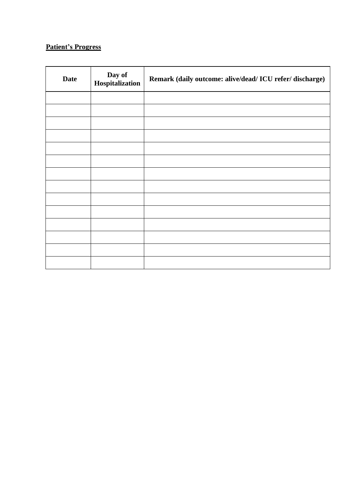### **Patient's Progress**

| <b>Date</b> | Day of<br>Hospitalization | Remark (daily outcome: alive/dead/ ICU refer/ discharge) |
|-------------|---------------------------|----------------------------------------------------------|
|             |                           |                                                          |
|             |                           |                                                          |
|             |                           |                                                          |
|             |                           |                                                          |
|             |                           |                                                          |
|             |                           |                                                          |
|             |                           |                                                          |
|             |                           |                                                          |
|             |                           |                                                          |
|             |                           |                                                          |
|             |                           |                                                          |
|             |                           |                                                          |
|             |                           |                                                          |
|             |                           |                                                          |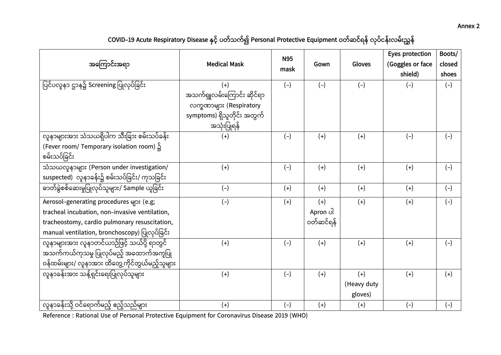#### **Annex 2**

## COVID–19 Acute Respiratory Disease နှင့် ပတ်သက်၍ Personal Protective Equipment ဝတ်ဆင်ရန် လုပ်ငန်းလမ်းညွှန်

| အကြောင်းအရာ                                        | <b>Medical Mask</b>                        | <b>N95</b> | Gown      | Gloves      | Eyes protection<br>(Goggles or face | Boots/<br>closed |
|----------------------------------------------------|--------------------------------------------|------------|-----------|-------------|-------------------------------------|------------------|
|                                                    |                                            | mask       |           |             | shield)                             | shoes            |
| ပြင်ပလူနာ ဌာန၌ Screening ပြုလုပ်ခြင်း              | $(+)$                                      | $(-)$      | $(-)$     | $(-)$       | $(-)$                               | $(-)$            |
|                                                    | အသက်ရှူလမ်းကြောင်း ဆိုင်ရာ                 |            |           |             |                                     |                  |
|                                                    | လက္ခဏာများ (Respiratory                    |            |           |             |                                     |                  |
|                                                    | symptoms) ရှိသူတိုင်း အတွက်<br>အသုံးပြုရန် |            |           |             |                                     |                  |
| လူနာများအား သံသယရှိပါက သီးခြား စမ်းသပ်ခန်း         | $(+)$                                      | $(-)$      | $(+)$     | $(+)$       | $(-)$                               | $(-)$            |
| (Fever room/ Temporary isolation room) ၌           |                                            |            |           |             |                                     |                  |
| စမ်းသပ်ခြင်း                                       |                                            |            |           |             |                                     |                  |
| သံသယလူနာများ (Person under investigation/          | $(+)$                                      | $(-)$      | $(+)$     | $(+)$       | $(+)$                               | $(-)$            |
| suspected) လူနာခန်း၌ စမ်းသပ်ခြင်း/ ကုသခြင်း        |                                            |            |           |             |                                     |                  |
| -<br>ဓာတ်ခွဲစစ်ဆေးမှုပြုလုပ်သူများ/ Sample ယူခြင်း | $(-)$                                      | $(+)$      | $(+)$     | $(+)$       | $(+)$                               | $(-)$            |
| Aerosol-generating procedures များ (e.g;           | $(-)$                                      | $(+)$      | $(+)$     | $(+)$       | $(+)$                               | $(-)$            |
| tracheal incubation, non-invasive ventilation,     |                                            |            | Apron ပါ  |             |                                     |                  |
| tracheostomy, cardio pulmonary resuscitation,      |                                            |            | ဝတ်ဆင်ရန် |             |                                     |                  |
| manual ventilation, bronchoscopy) ပြုလုပ်ခြင်း     |                                            |            |           |             |                                     |                  |
| လူနာများအား လူနာတင်ယာဉ်ဖြင့် သယ်ပို့ ရာတွင်        | $(+)$                                      | $(-)$      | $(+)$     | $(+)$       | $(+)$                               | $(-)$            |
| အသက်ကယ်ကုသမှု ပြုလုပ်မည့် အထောက်အကူပြု             |                                            |            |           |             |                                     |                  |
| ဝန်ထမ်းများ/ လူနာအား ထိတွေ့ကိုင်တွယ်မည့်သူများ     |                                            |            |           |             |                                     |                  |
| လူနာခန်းအား သန့်ရှင်းရေးပြုလုပ်သူများ              | $(+)$                                      | $(-)$      | $(+)$     | $(+)$       | $(+)$                               | $(+)$            |
|                                                    |                                            |            |           | (Heavy duty |                                     |                  |
|                                                    |                                            |            |           | gloves)     |                                     |                  |
| လူနာခန်းသို့ ဝင်ရောက်မည့် ဧည့်သည်များ              | $(+)$                                      | $(-)$      | $(+)$     | $(+)$       | $(-)$                               | $(-)$            |

Reference : Rational Use of Personal Protective Equipment for Coronavirus Disease 2019 (WHO)